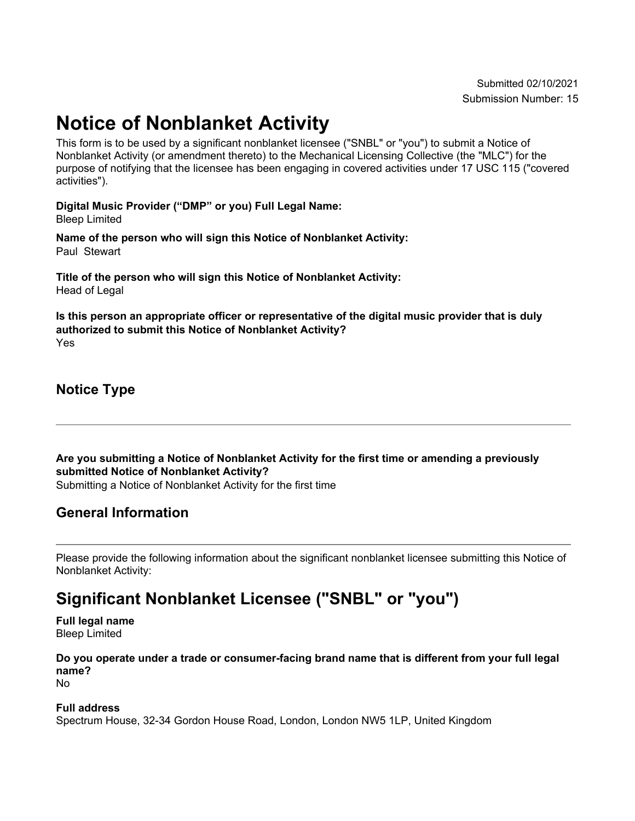# **Notice of Nonblanket Activity**

This form is to be used by a significant nonblanket licensee ("SNBL" or "you") to submit a Notice of Nonblanket Activity (or amendment thereto) to the Mechanical Licensing Collective (the "MLC") for the purpose of notifying that the licensee has been engaging in covered activities under 17 USC 115 ("covered activities").

**Digital Music Provider ("DMP" or you) Full Legal Name:** Bleep Limited

**Name of the person who will sign this Notice of Nonblanket Activity:** Paul Stewart

**Title of the person who will sign this Notice of Nonblanket Activity:** Head of Legal

**Is this person an appropriate officer or representative of the digital music provider that is duly authorized to submit this Notice of Nonblanket Activity?** Yes

**Notice Type**

**Are you submitting a Notice of Nonblanket Activity for the first time or amending a previously submitted Notice of Nonblanket Activity?** Submitting a Notice of Nonblanket Activity for the first time

## **General Information**

Please provide the following information about the significant nonblanket licensee submitting this Notice of Nonblanket Activity:

## **Significant Nonblanket Licensee ("SNBL" or "you")**

**Full legal name** Bleep Limited

**Do you operate under a trade or consumer-facing brand name that is different from your full legal name?**

No

#### **Full address**

Spectrum House, 32-34 Gordon House Road, London, London NW5 1LP, United Kingdom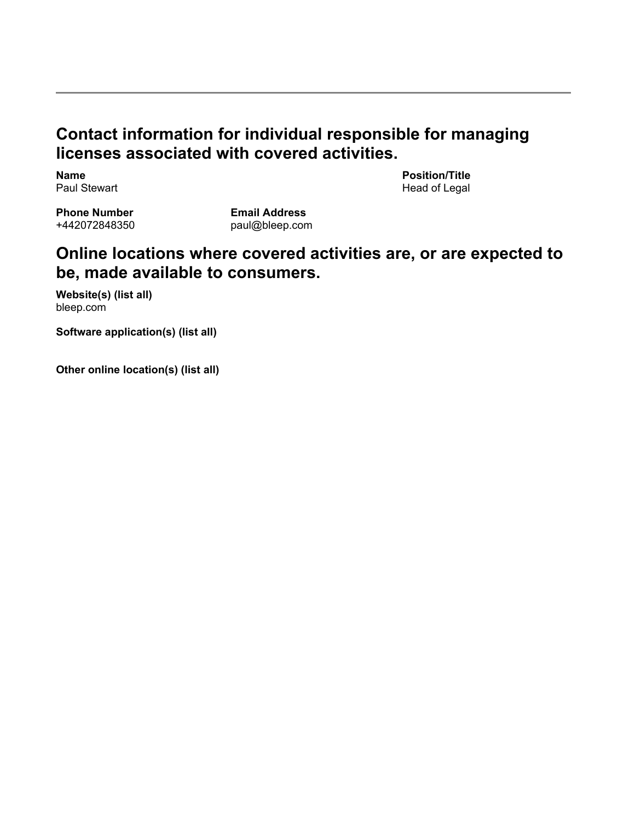## **Contact information for individual responsible for managing licenses associated with covered activities.**

**Name** Paul Stewart **Position/Title** Head of Legal

**Phone Number** +442072848350

**Email Address** paul@bleep.com

## **Online locations where covered activities are, or are expected to be, made available to consumers.**

**Website(s) (list all)** bleep.com

**Software application(s) (list all)**

**Other online location(s) (list all)**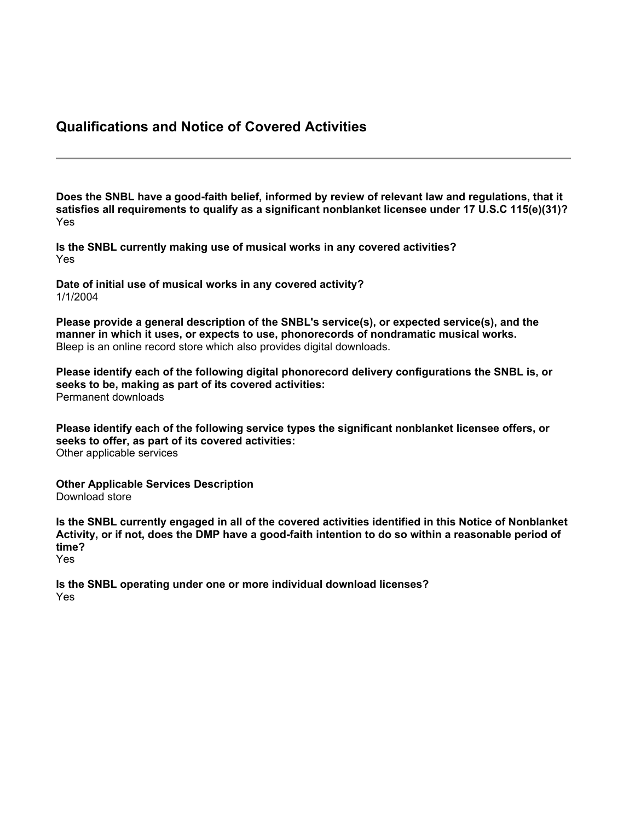#### **Qualifications and Notice of Covered Activities**

**Does the SNBL have a good-faith belief, informed by review of relevant law and regulations, that it satisfies all requirements to qualify as a significant nonblanket licensee under 17 U.S.C 115(e)(31)?** Yes

**Is the SNBL currently making use of musical works in any covered activities?** Yes

**Date of initial use of musical works in any covered activity?** 1/1/2004

**Please provide a general description of the SNBL's service(s), or expected service(s), and the manner in which it uses, or expects to use, phonorecords of nondramatic musical works.** Bleep is an online record store which also provides digital downloads.

**Please identify each of the following digital phonorecord delivery configurations the SNBL is, or seeks to be, making as part of its covered activities:** Permanent downloads

**Please identify each of the following service types the significant nonblanket licensee offers, or seeks to offer, as part of its covered activities:** Other applicable services

**Other Applicable Services Description** Download store

**Is the SNBL currently engaged in all of the covered activities identified in this Notice of Nonblanket** Activity, or if not, does the DMP have a good-faith intention to do so within a reasonable period of **time?** Yes

**Is the SNBL operating under one or more individual download licenses?** Yes